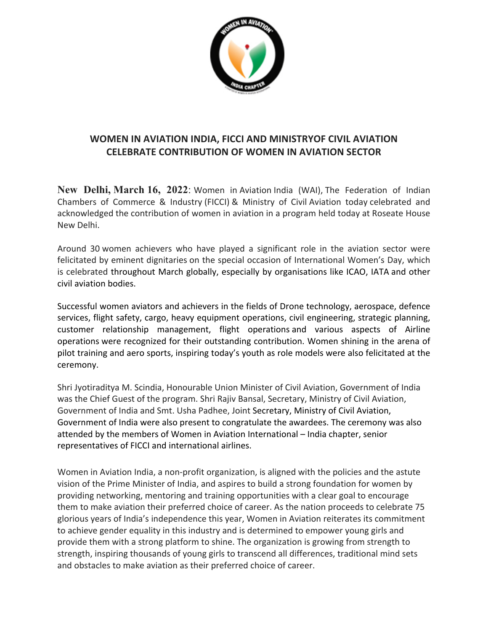

## **WOMEN IN AVIATION INDIA, FICCI AND MINISTRYOF CIVIL AVIATION CELEBRATE CONTRIBUTION OF WOMEN IN AVIATION SECTOR**

**New Delhi, March 16, 2022:** Women in Aviation India (WAI), The Federation of Indian Chambers of Commerce & Industry (FICCI) & Ministry of Civil Aviation today celebrated and acknowledged the contribution of women in aviation in a program held today at Roseate House New Delhi.

Around 30 women achievers who have played a significant role in the aviation sector were felicitated by eminent dignitaries on the special occasion of International Women's Day, which is celebrated throughout March globally, especially by organisations like ICAO, IATA and other civil aviation bodies.

Successful women aviators and achievers in the fields of Drone technology, aerospace, defence services, flight safety, cargo, heavy equipment operations, civil engineering, strategic planning, customer relationship management, flight operations and various aspects of Airline operations were recognized for their outstanding contribution. Women shining in the arena of pilot training and aero sports, inspiring today's youth as role models were also felicitated at the ceremony.

Shri Jyotiraditya M. Scindia, Honourable Union Minister of Civil Aviation, Government of India was the Chief Guest of the program. Shri Rajiv Bansal, Secretary, Ministry of Civil Aviation, Government of India and Smt. Usha Padhee, Joint Secretary, Ministry of Civil Aviation, Government of India were also present to congratulate the awardees. The ceremony was also attended by the members of Women in Aviation International – India chapter, senior representatives of FICCI and international airlines.

Women in Aviation India, a non-profit organization, is aligned with the policies and the astute vision of the Prime Minister of India, and aspires to build a strong foundation for women by providing networking, mentoring and training opportunities with a clear goal to encourage them to make aviation their preferred choice of career. As the nation proceeds to celebrate 75 glorious years of India's independence this year, Women in Aviation reiterates its commitment to achieve gender equality in this industry and is determined to empower young girls and provide them with a strong platform to shine. The organization is growing from strength to strength, inspiring thousands of young girls to transcend all differences, traditional mind sets and obstacles to make aviation as their preferred choice of career.